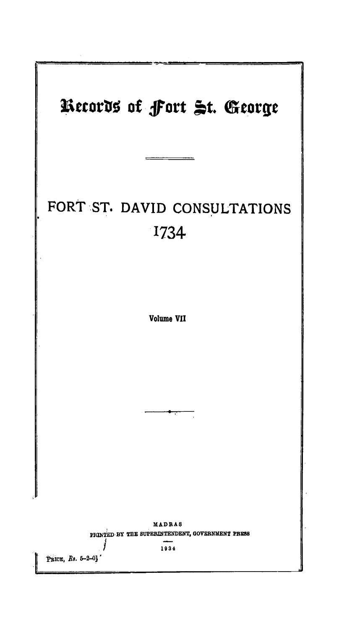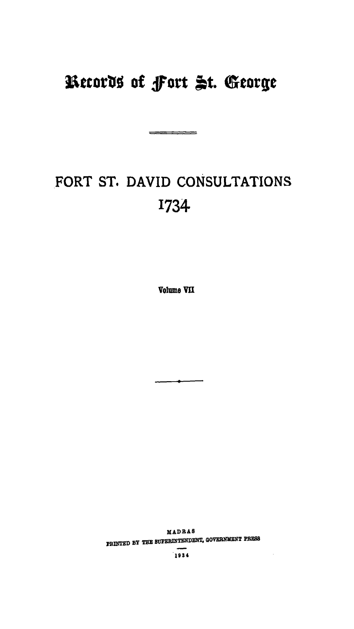# Records of Fort St. George

# FORT ST. DAVID CONSULTATIONS 1734

Volume VII

MADRAS PRINTED BY THE SUPERINTENDENT, GOVERNMENT PRESS

1934

 $\sim$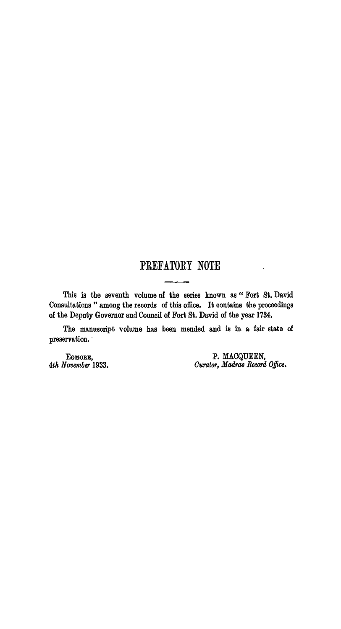## PREFATORY NOTE

This is the seventh volume of the series known as "Fort St. David Consultations " among the records of this office. It contains the proceedings of the Deputy Governor and Council of Fort St. David of the year 1734.

The manuscript volume has been mended and is in a fair state of preservation.

EGMORE, 4th November 1933. P. MACQUEEN,<br>Curator, Madras Record Office.

 $\ddot{\phantom{a}}$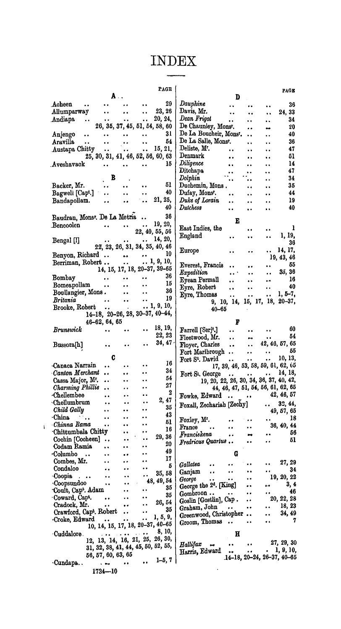### **INDEX**

|                                                                                                                                                                                                                                                                                                                                             |                                                             |                                                   |                                                                     | <b>PAGE</b>                  |                                                                  |                                  |                                    | <b>PAGE</b>                                                                                                                                                                                |
|---------------------------------------------------------------------------------------------------------------------------------------------------------------------------------------------------------------------------------------------------------------------------------------------------------------------------------------------|-------------------------------------------------------------|---------------------------------------------------|---------------------------------------------------------------------|------------------------------|------------------------------------------------------------------|----------------------------------|------------------------------------|--------------------------------------------------------------------------------------------------------------------------------------------------------------------------------------------|
|                                                                                                                                                                                                                                                                                                                                             | A.,                                                         |                                                   |                                                                     |                              |                                                                  | D                                |                                    |                                                                                                                                                                                            |
| Acheen<br>$\bullet$                                                                                                                                                                                                                                                                                                                         | $\mathbf{a} \cdot \mathbf{a} = \mathbf{a} \cdot \mathbf{a}$ | $\ddot{\phantom{a}}$                              | $\ddot{\phantom{0}}$                                                | 29                           | Dauphine                                                         |                                  | $\ddot{\phantom{1}}$               | 36                                                                                                                                                                                         |
| Allumparway                                                                                                                                                                                                                                                                                                                                 | $\bullet$ $\bullet$                                         | $\ddot{\phantom{a}}$                              | $\ddot{\phantom{1}}$                                                | 23, 26                       | Davis, Mr.<br>$\ddot{\phantom{a}}$                               | $\ddot{\phantom{a}}$             | $\ddot{\phantom{a}}$               | 24, 33                                                                                                                                                                                     |
| Andiapa<br>$\bullet$                                                                                                                                                                                                                                                                                                                        | $\ddot{\phantom{a}}$                                        |                                                   | $\ddot{\phantom{a}}$                                                | 20, 24,                      | Dean Frigot<br>$\ddot{\phantom{a}}$                              | $\ddot{\phantom{1}}$             | $\ddot{\phantom{a}}$               | 34                                                                                                                                                                                         |
|                                                                                                                                                                                                                                                                                                                                             | 26, 35, 37, 45, 51, 54, 58, 60                              |                                                   |                                                                     |                              | De Chaunley, Monsr.                                              |                                  | <b>But</b>                         | 20                                                                                                                                                                                         |
| Anjengo<br>$\ddot{\phantom{1}}$                                                                                                                                                                                                                                                                                                             | $\bullet$ $\bullet$                                         | $\bullet$ $\bullet$                               | $\ddot{\phantom{a}}$                                                | 31                           | De La Boucheir, Monsr.                                           | . .                              |                                    | 40                                                                                                                                                                                         |
| Aravilla<br>$\ddot{\phantom{a}}$                                                                                                                                                                                                                                                                                                            | $\ddot{\phantom{a}}$                                        | $\bullet$ $\bullet$                               | $\ddot{\phantom{a}}$                                                | 54                           | De La Salle, Monsr.                                              |                                  | $\ddot{\phantom{1}}$               | 36                                                                                                                                                                                         |
| Austapa Chitty                                                                                                                                                                                                                                                                                                                              | $\ddot{\phantom{a}}$                                        | $\ddot{\phantom{a}}$                              | $\ddot{\phantom{0}}$                                                | 15, 21,                      | Deliste, Mr.                                                     |                                  |                                    | 47                                                                                                                                                                                         |
|                                                                                                                                                                                                                                                                                                                                             | 25, 30, 31, 41, 46, 52, 56, 60, 63                          |                                                   |                                                                     |                              | Denmark                                                          | . .                              | ٠.                                 | 51                                                                                                                                                                                         |
|                                                                                                                                                                                                                                                                                                                                             |                                                             |                                                   |                                                                     |                              | Diligence                                                        | $\bullet$                        | $\ddot{\phantom{1}}$               |                                                                                                                                                                                            |
| Aveshavack                                                                                                                                                                                                                                                                                                                                  | <b>PACIFIC</b>                                              | $\bullet$ $\bullet$                               | $\mathbf{a}$                                                        | 15                           | $\ddot{\phantom{a}}$                                             | $\ddot{\phantom{0}}$             | $\ddot{\phantom{a}}$               | 14                                                                                                                                                                                         |
|                                                                                                                                                                                                                                                                                                                                             |                                                             |                                                   |                                                                     |                              | Ditchapa<br>$\bullet$                                            |                                  | $\ddot{\phantom{1}}$               | 47                                                                                                                                                                                         |
|                                                                                                                                                                                                                                                                                                                                             | В                                                           |                                                   |                                                                     |                              | Dolphin                                                          |                                  | ٠.                                 | 34                                                                                                                                                                                         |
| Backer, Mr.                                                                                                                                                                                                                                                                                                                                 | $\ddot{\phantom{1}}$                                        | $\bullet$                                         | $\bullet$                                                           | 51                           | Duchemin, Mons.                                                  | $\ddot{\phantom{a}}$             | $\ddot{\phantom{1}}$               | 35                                                                                                                                                                                         |
| Bagwell [Capt.]                                                                                                                                                                                                                                                                                                                             | $\ddot{\phantom{a}}$                                        | $\bullet$ $\bullet$                               |                                                                     | 40                           | Dufay, Mons <sup>t</sup> .                                       | $\ddot{\phantom{1}}$             |                                    | 44                                                                                                                                                                                         |
| Bandapollam.                                                                                                                                                                                                                                                                                                                                | $\ddot{\phantom{0}}$                                        | .,                                                | $\ddot{\phantom{a}}$                                                | 21, 25,                      | Duke of Lorain                                                   |                                  | $\ddot{\phantom{a}}$               | 19                                                                                                                                                                                         |
|                                                                                                                                                                                                                                                                                                                                             |                                                             |                                                   |                                                                     | 40                           | <b>Duichess</b><br>                                              | $\ddot{\phantom{1}}$             | $\bullet$                          | 40                                                                                                                                                                                         |
|                                                                                                                                                                                                                                                                                                                                             |                                                             |                                                   |                                                                     | 36                           |                                                                  |                                  |                                    |                                                                                                                                                                                            |
| Baudran, Monsr. De La Metria                                                                                                                                                                                                                                                                                                                |                                                             |                                                   |                                                                     |                              |                                                                  | Е                                |                                    |                                                                                                                                                                                            |
| Bencoolen                                                                                                                                                                                                                                                                                                                                   | $\bullet$ $\bullet$ . $\bullet$ .                           | $\bullet$ $\bullet$ $\bullet$ $\bullet$ $\bullet$ | $\ddot{\phantom{a}}$                                                | 19, 20,                      | East Indies, the                                                 | $\ddot{\bullet}$                 | $\ddot{\phantom{1}}$               | $\mathbf{1}$                                                                                                                                                                               |
|                                                                                                                                                                                                                                                                                                                                             |                                                             |                                                   |                                                                     | 22, 40, 55, 56               | England                                                          |                                  | $\bullet$                          | 1, 19,                                                                                                                                                                                     |
| Bengal [I]                                                                                                                                                                                                                                                                                                                                  | $\bullet$                                                   | $\mathbf{r}$ and $\mathbf{r}$ and $\mathbf{r}$    | $\ddot{\phantom{a}}$                                                | 14, 20,                      |                                                                  |                                  |                                    | 36                                                                                                                                                                                         |
|                                                                                                                                                                                                                                                                                                                                             | 22, 23, 26, 31, 34, 35, 40, 46                              |                                                   |                                                                     |                              |                                                                  |                                  |                                    |                                                                                                                                                                                            |
| Benyon, Richard                                                                                                                                                                                                                                                                                                                             |                                                             |                                                   | $\mathbf{a}(\mathbf{a}) = \mathbf{a}(\mathbf{a}^{\top} \mathbf{a})$ | 10                           | Europe<br>$\bullet$                                              | $\ddot{\phantom{0}}$             | $\ddot{\phantom{a}}$               | 14, 17,                                                                                                                                                                                    |
|                                                                                                                                                                                                                                                                                                                                             |                                                             | $\ddot{\phantom{a}}$                              |                                                                     | $\ldots$ 1, 9, 10,           |                                                                  |                                  |                                    | 19, 43, 46                                                                                                                                                                                 |
| Berriman, Robert                                                                                                                                                                                                                                                                                                                            |                                                             |                                                   |                                                                     |                              | Everest, Francis                                                 | $\bullet$                        | $\ddot{\phantom{a}}$               | 55                                                                                                                                                                                         |
|                                                                                                                                                                                                                                                                                                                                             |                                                             |                                                   |                                                                     | 14, 15, 17, 18, 20-37, 39-65 | Expedition                                                       | $\cdots$<br>$\bullet$ $\bullet$  | $\bullet$                          | 35, 36                                                                                                                                                                                     |
| Bombay                                                                                                                                                                                                                                                                                                                                      | $\ddot{\phantom{1}}$                                        | $\bullet\hspace{0.1cm} \bullet\hspace{0.1cm}$     | $\ddot{\phantom{1}}$                                                | 36                           | Eyean Permall                                                    | $\ddot{\phantom{1}}$<br>$\cdots$ | $\bullet$                          | 16                                                                                                                                                                                         |
| Bomeapollam                                                                                                                                                                                                                                                                                                                                 |                                                             | and the state of                                  | $\ddot{\phantom{1}}$                                                | 15                           | Eyre, Robert<br>$\ddot{\phantom{a}}$                             | $\ddot{\phantom{1}}$             | $\ddot{\phantom{a}}$               | 40                                                                                                                                                                                         |
| Boullangier, Mons.                                                                                                                                                                                                                                                                                                                          |                                                             |                                                   | $\bullet$ $\bullet$                                                 | 36                           | Eyre, Thomas                                                     | $\mathbf{r}$<br>$\bullet$        | $\ddot{\phantom{a}}$               | $1, 5-7,$                                                                                                                                                                                  |
| Britania                                                                                                                                                                                                                                                                                                                                    | $\bullet$ $\bullet$                                         | $\ddot{\phantom{1}}$                              | $\ddot{\phantom{a}}$ .                                              | 19                           |                                                                  |                                  | 9, 10, 14, 15, 17, 18, 20-37,      |                                                                                                                                                                                            |
| Brooke, Robert                                                                                                                                                                                                                                                                                                                              |                                                             |                                                   |                                                                     | $\ldots$ 1, 9, 10,           |                                                                  |                                  |                                    |                                                                                                                                                                                            |
|                                                                                                                                                                                                                                                                                                                                             | 14-18, 20-26, 28, 30-37, 40-44,                             |                                                   |                                                                     |                              | $40 - 65$                                                        |                                  |                                    |                                                                                                                                                                                            |
|                                                                                                                                                                                                                                                                                                                                             | 46-62, 64, 65                                               |                                                   |                                                                     |                              |                                                                  | F                                |                                    |                                                                                                                                                                                            |
| Brunswick                                                                                                                                                                                                                                                                                                                                   |                                                             |                                                   | $\bullet$                                                           | 18, 19,                      |                                                                  |                                  |                                    | 60                                                                                                                                                                                         |
|                                                                                                                                                                                                                                                                                                                                             | $\ddotsc$                                                   | $\bullet$                                         |                                                                     | 22, 23                       | Farrell [Serj <sup>t</sup> .]<br>$\bullet$                       | $\ddot{\phantom{0}}$             | $\ddot{\phantom{1}}$               | 54                                                                                                                                                                                         |
|                                                                                                                                                                                                                                                                                                                                             |                                                             |                                                   |                                                                     | 34, 47                       | Fleetwood, Mr.<br>$\ddot{\phantom{a}}$                           | $\Delta\sigma$                   | $\bullet$                          |                                                                                                                                                                                            |
| Bussora[h]                                                                                                                                                                                                                                                                                                                                  | $\ddot{\phantom{0}}$                                        |                                                   | $\ddot{\bullet}$                                                    |                              | Floyer, Charles<br>$\ddot{\phantom{0}}$                          | $\ddot{\phantom{1}}$             | 42, 46, 57, 65                     |                                                                                                                                                                                            |
|                                                                                                                                                                                                                                                                                                                                             |                                                             |                                                   |                                                                     |                              | Fort Marlbrough                                                  | $\bullet$                        | $\ddot{\phantom{a}}$               | 55                                                                                                                                                                                         |
|                                                                                                                                                                                                                                                                                                                                             | C                                                           |                                                   |                                                                     | 16                           | Fort St. David<br>$\ddot{\phantom{a}}$                           | $\ddot{\phantom{a}}$             | $\ddot{\phantom{a}}$               | 10, 13,                                                                                                                                                                                    |
| Canaca Narrain                                                                                                                                                                                                                                                                                                                              | $\ddot{\phantom{1}}$                                        | $\ddot{\phantom{1}}$                              |                                                                     |                              |                                                                  |                                  | 17, 39, 46, 53, 58, 59, 61, 62, 65 |                                                                                                                                                                                            |
| Canton Merchant                                                                                                                                                                                                                                                                                                                             | $\ddot{\phantom{a}}$                                        | $\ddot{\phantom{0}}$                              |                                                                     | 34                           | Fort St. George  14, 18, 19, 20, 22, 26, 30, 34, 36, 37, 40, 42, |                                  |                                    |                                                                                                                                                                                            |
| Cassa Major, M <sup>r</sup> .                                                                                                                                                                                                                                                                                                               |                                                             | $\ddot{\phantom{a}}$                              | $\ddot{\phantom{0}}$                                                | 54                           |                                                                  |                                  |                                    |                                                                                                                                                                                            |
|                                                                                                                                                                                                                                                                                                                                             |                                                             |                                                   |                                                                     | 27 <sub>2</sub>              |                                                                  |                                  |                                    |                                                                                                                                                                                            |
|                                                                                                                                                                                                                                                                                                                                             |                                                             |                                                   |                                                                     |                              |                                                                  |                                  |                                    |                                                                                                                                                                                            |
|                                                                                                                                                                                                                                                                                                                                             | $\bullet$                                                   | $\bullet$                                         | $\bullet$                                                           | $\boldsymbol{2}$             | 44, 46, 47, 51, 54, 56, 61, 62, 65                               |                                  |                                    |                                                                                                                                                                                            |
|                                                                                                                                                                                                                                                                                                                                             |                                                             |                                                   |                                                                     |                              | Fowke, Edward $\cdots$                                           |                                  |                                    |                                                                                                                                                                                            |
|                                                                                                                                                                                                                                                                                                                                             |                                                             | $\ddot{\phantom{a}}$                              | $\bullet$                                                           | 2, 47                        | Foxall, Zechariah [Zechy]                                        |                                  | $\ddot{\phantom{1}}$               |                                                                                                                                                                                            |
|                                                                                                                                                                                                                                                                                                                                             | $\ddot{\phantom{1}}$                                        | $\ddot{\phantom{0}}$                              | $\bullet$                                                           | 35                           |                                                                  |                                  |                                    |                                                                                                                                                                                            |
| ∵                                                                                                                                                                                                                                                                                                                                           | $\ddot{\phantom{a}}$                                        | . .                                               | $\ddot{\phantom{a}}$                                                | 43                           |                                                                  |                                  | $\ddot{\phantom{1}}$               |                                                                                                                                                                                            |
|                                                                                                                                                                                                                                                                                                                                             | $\ddot{\phantom{a}}$                                        | $\bullet$                                         | $\bullet$                                                           | 51                           | Foxley, $M^r$ .<br>$\bullet$                                     |                                  |                                    |                                                                                                                                                                                            |
|                                                                                                                                                                                                                                                                                                                                             |                                                             | $\bullet$                                         | $\ddot{\phantom{1}}$                                                | 16                           | France<br>$\sim$ $\sim$                                          |                                  |                                    |                                                                                                                                                                                            |
|                                                                                                                                                                                                                                                                                                                                             |                                                             |                                                   | $\bullet$                                                           | 29, 36                       | Franciskena<br>$\bullet$                                         | ting.                            |                                    |                                                                                                                                                                                            |
|                                                                                                                                                                                                                                                                                                                                             | $\ddot{\bullet}$                                            | n a                                               |                                                                     | 20                           | Fredricus Quartus                                                |                                  | . .                                |                                                                                                                                                                                            |
|                                                                                                                                                                                                                                                                                                                                             |                                                             |                                                   | $\blacksquare$                                                      | 49                           |                                                                  |                                  |                                    |                                                                                                                                                                                            |
| $\sim$ 10 $\pm$                                                                                                                                                                                                                                                                                                                             |                                                             | $\bullet$                                         |                                                                     | 17                           |                                                                  | G                                |                                    |                                                                                                                                                                                            |
|                                                                                                                                                                                                                                                                                                                                             | ۰,                                                          | $\ddot{\phantom{0}}$                              | $\bullet$                                                           | 5                            | Gallatea<br>$\bullet$                                            | $\ddot{\phantom{0}}$             |                                    |                                                                                                                                                                                            |
|                                                                                                                                                                                                                                                                                                                                             | $\bullet$                                                   | $\bullet$                                         |                                                                     |                              | $\ddot{\phantom{a}}$<br>$\ddot{\phantom{1}}$                     | $\ddot{\phantom{1}}$             | . .                                |                                                                                                                                                                                            |
| $\sim$ $\sim$                                                                                                                                                                                                                                                                                                                               | $\ddot{\bullet}$                                            | $\ddot{\phantom{1}}$                              | $\ddot{\phantom{a}}$                                                | 35, 58                       | Ganjam<br>$\ddot{\phantom{1}}$<br>$\ddot{\phantom{a}}$           |                                  |                                    |                                                                                                                                                                                            |
|                                                                                                                                                                                                                                                                                                                                             | $\ddot{\phantom{0}}$                                        | $\ddot{\bullet}$                                  |                                                                     | 48, 49, 54                   | George                                                           | ë t                              | $\pmb{u}$ , $\pmb{u}$              |                                                                                                                                                                                            |
|                                                                                                                                                                                                                                                                                                                                             |                                                             | $\ddot{\phantom{1}}$                              | $\bullet$                                                           | 35                           | George the 2 <sup>d</sup> . [King]                               |                                  |                                    |                                                                                                                                                                                            |
|                                                                                                                                                                                                                                                                                                                                             |                                                             | $\ddot{\phantom{1}}$                              | $\bullet$                                                           | 35                           | Gombroon<br>$\ddot{\bullet}$                                     | $\ddot{\phantom{0}}$             | $\bullet$                          |                                                                                                                                                                                            |
|                                                                                                                                                                                                                                                                                                                                             | $\ddot{\phantom{1}}$                                        | $\bullet$                                         | $\ddot{\phantom{1}}$                                                | 26, 54                       | Goslin [Gostlin], Cap.                                           | $\ddot{\phantom{1}}$             |                                    |                                                                                                                                                                                            |
|                                                                                                                                                                                                                                                                                                                                             |                                                             |                                                   | $\bullet$                                                           | 35                           | Graham, John<br>$\ddot{\phantom{0}}$                             | $\bullet$ $\bullet$              | ы.                                 |                                                                                                                                                                                            |
|                                                                                                                                                                                                                                                                                                                                             |                                                             |                                                   |                                                                     | 1, 5, 9,                     | Greenwood, Christopher                                           | $\bullet$ $\bullet$              | . .                                |                                                                                                                                                                                            |
|                                                                                                                                                                                                                                                                                                                                             | $\ddot{\phantom{a}}$                                        | $\bullet$                                         |                                                                     |                              | Groom, Thomas<br>$\ddot{\phantom{0}}$                            | $\bullet$                        | ٠.                                 |                                                                                                                                                                                            |
|                                                                                                                                                                                                                                                                                                                                             | 10, 14, 15, 17, 18, 20-37, 40-65                            |                                                   |                                                                     |                              |                                                                  |                                  |                                    |                                                                                                                                                                                            |
|                                                                                                                                                                                                                                                                                                                                             | المعاملات المعاد                                            |                                                   | $\sim 100$                                                          | 8, 10,                       |                                                                  | H                                |                                    |                                                                                                                                                                                            |
| Charming Phillis<br>Chellembee<br>Chellumbrum<br>Child Gally<br><b>China</b><br>Chinna Rama<br>Chittumbala Chitty<br>Cochin [Cocheen]<br>Codam Ramia<br>-Columbo<br>Combes, Mr.<br>Condaloo<br>Coopia<br><b>Coopsundoo</b><br>'Coult, Capt. Adam.<br>Coward, Capt.<br>Cradock, Mr.<br>Crawford, Capt. Robert<br>Croke, Edward<br>Cuddalore. | 12, 13, 14, 16, 21, 25, 26, 30,                             |                                                   |                                                                     |                              | $\bullet$ $\bullet$<br>94                                        | $\bullet$                        |                                    |                                                                                                                                                                                            |
|                                                                                                                                                                                                                                                                                                                                             | 31, 32, 38, 41, 44, 45, 50, 52, 55,                         |                                                   |                                                                     |                              | Hallifax<br>$\bullet$                                            | $\bullet\bullet\quad \qquad$     |                                    | 42, 46, 57<br>32, 44,<br>49, 57, 65<br>18<br>36, 40, 44<br>56<br>51<br>27, 29<br>34<br>19, 20, 22<br>3, 4<br>46<br>20, 22, 28<br>18, 23<br>34, 49<br>7<br>27, 29, 30<br>$\ldots$ 1, 9, 10, |
| Cundapa                                                                                                                                                                                                                                                                                                                                     | 56, 57, 60, 63, 65                                          |                                                   |                                                                     | $1 - 5, 7$                   | Harris, Edward                                                   |                                  | $14-18$ , 20-24, 26-37, 40-65      |                                                                                                                                                                                            |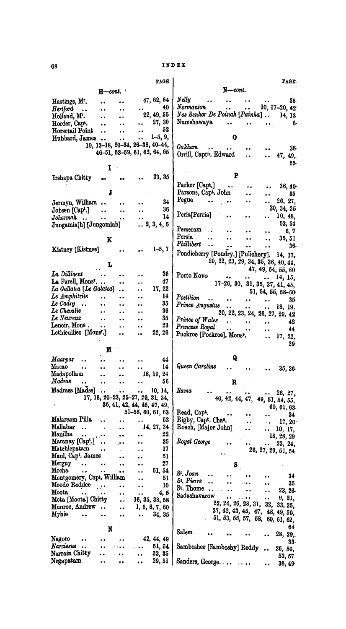|                                                       |                                              |                                              |                          | <b>PAGE</b>                 | PAGE.                                                                                                                                                        |
|-------------------------------------------------------|----------------------------------------------|----------------------------------------------|--------------------------|-----------------------------|--------------------------------------------------------------------------------------------------------------------------------------------------------------|
|                                                       | $H$ -cont.                                   |                                              |                          |                             | $N$ -cont.                                                                                                                                                   |
| Hastings, Mr.                                         | $\bullet$                                    | $\ddot{\phantom{1}}$                         |                          | 47, 62, 64                  | Nelly<br>35.<br>$\bullet$ $\bullet$<br>$\bullet$<br>$\bullet$<br>$\ddot{\phantom{a}}$                                                                        |
| <b>Hertford</b><br>$\ddot{\phantom{a}}$               | ta a                                         | $\ddot{\phantom{a}}$                         |                          | 40                          | $\emph{Norm}$ anton<br>10, $17-20$ , $42$<br>$\bullet$<br>$\ddot{\phantom{0}}$                                                                               |
| Holland, M.                                           | ۰.,                                          |                                              |                          | 22, 49, 55                  | Nos Senhor De Poinah [Painha]<br>14, 18                                                                                                                      |
| Horder, Capt.                                         | $\bullet$                                    | $\bullet$                                    | $\bullet$ $\bullet$      | 27, 30                      | Numshawaya<br>$\bullet$ $\bullet$<br>6.                                                                                                                      |
| Horsetail Point                                       |                                              | $\ddot{\phantom{1}}$                         | $\ddot{\phantom{1}}$     | 52                          |                                                                                                                                                              |
| Hubbard, James                                        |                                              | $\bullet$                                    | $\ddot{\phantom{1}}$     | $1-5, 9,$                   | 0                                                                                                                                                            |
|                                                       | 10, 13-18, 20-24, 26-38, 40-44,              |                                              |                          |                             | Oakham<br>$\mathbf{r} = \mathbf{r}$<br>$\ddot{\phantom{a}}$<br>$36-$<br>$\bullet$ $\bullet$                                                                  |
|                                                       | 46-51, 53-59, 61, 62, 64, 65                 |                                              |                          |                             | Orrill, Capt <sup>n</sup> . Edward<br>47, 49,<br>$\ddot{\phantom{a}}$<br>                                                                                    |
|                                                       |                                              |                                              |                          |                             | 55.                                                                                                                                                          |
|                                                       | I                                            |                                              |                          | 33, 35                      | P                                                                                                                                                            |
| Irshapa Chitty                                        |                                              |                                              |                          |                             | Parker [Capt.]                                                                                                                                               |
|                                                       | J                                            |                                              |                          |                             | 36, 40<br>$\sim 100$ m s $^{-1}$<br>$\ddot{\phantom{0}}$<br>$\bullet$<br>Parsons, Capt. John                                                                 |
|                                                       |                                              |                                              |                          |                             | 35<br>$\ddot{\bullet}$<br>$\ddot{\phantom{1}}$<br>Pegue                                                                                                      |
| Jermyn, William                                       |                                              | $\bullet$ $\bullet$                          |                          | 34                          | 26, 27,<br>. .<br>30, 34, 35                                                                                                                                 |
| Jobsen [Capt.]                                        | $\ddot{\phantom{a}}$                         | $\ddot{\phantom{a}}$                         | $\ddot{\phantom{a}}$     | 36<br>14                    | Peria[Perria]<br>10, 48,<br>$\ddot{\phantom{1}}$                                                                                                             |
| Johannah<br>Jungamia[h] [Jungomiah]                   | $\ddot{\bullet}$                             | $\bullet$ $\bullet$                          | $\bullet$ $\bullet$      | $\ldots$ 2, 3, 4, 5         | 53, 54                                                                                                                                                       |
|                                                       |                                              |                                              |                          |                             | Perseram<br>6, 7<br>$\bullet$                                                                                                                                |
|                                                       | K                                            |                                              |                          |                             | Persia<br>35, 51<br>$\bullet$<br>$\ddot{\bullet}$<br>$\ddot{\phantom{a}}$<br>$\ddot{\phantom{0}}$                                                            |
|                                                       |                                              |                                              |                          |                             | Phillibert<br>$\ddot{\phantom{a}}$<br>36.<br>$\bullet$<br>$\ddot{\phantom{1}}$<br>$\ddot{\phantom{a}}$                                                       |
| Kistney [Kistnee]                                     |                                              | $\bullet$                                    |                          | $1-5, 7$                    | Pondicherry [Pondry.] [Pulichery].<br>14, 17,                                                                                                                |
|                                                       |                                              |                                              |                          |                             | 20, 22, 23, 29, 34, 35, 36, 40, 44,                                                                                                                          |
|                                                       | L                                            |                                              |                          |                             | 47, 49, 54, 55, 60                                                                                                                                           |
| La Dilligent                                          |                                              |                                              |                          | 36                          | Porto Novo<br>14, 15,<br>$\bullet$ $\bullet$ $\ddot{\bullet}$<br>$\bullet\hspace{0.7mm}\bullet\hspace{0.7mm}\cdots\hspace{0.7mm}\bullet\hspace{0.7mm}\cdots$ |
| La Farell, Mons <sup>r</sup>                          |                                              | $\ddot{\phantom{1}}$                         | $\bullet$                | 47                          | $17-26$ , 30, 31, 35, 37, 41, 45,                                                                                                                            |
| La Gallatea [Le Galatea]                              |                                              | $\bullet$                                    | . .                      | 17, 22                      | 51, 54, 55, 58-60                                                                                                                                            |
| Le Amphitrite                                         |                                              | . .                                          |                          | 14                          | Postilion<br>$\bullet$ $\bullet$<br>35.<br>$\ddot{\bullet}$<br>$\bullet$                                                                                     |
| Le Cadry $\ldots$                                     | $\ddot{\phantom{1}}$                         |                                              |                          | 35                          | Prince Augustus<br>18, 19,<br>$\bullet$ $\bullet$<br>$\bullet$ $\bullet$                                                                                     |
| Le Chevalie<br>$\boldsymbol{L}\boldsymbol{e}$ Neureux | $\bullet$ $\bullet$                          | $\blacksquare$                               |                          | 36<br>35                    | 20, 22, 23, 24, 26, 27, 29, 42                                                                                                                               |
| Lenoir, Mons.                                         | $\ddot{\phantom{a}}$<br>$\ddot{\phantom{1}}$ | $\ddot{\phantom{0}}$<br>$\ddot{\phantom{a}}$ | <br>$\ddot{\phantom{a}}$ | 23                          | Prince of Wales<br>$\bullet$ $\bullet$<br>$\bullet$ $\bullet$ $\bullet$ $\bullet$ $\bullet$ $\bullet$<br>42<br>$\bullet$ $\bullet$                           |
| Lethieullier [Mons <sup>r</sup> .]                    |                                              | ۰.                                           | $\bullet$                | 22, 26                      | Princess Royal<br>$\bullet$ $\bullet$<br>44<br>$\bullet$<br>$\bullet$ $\bullet$                                                                              |
|                                                       |                                              |                                              |                          |                             | Puckroe [Pockroe], Monsr.<br>17, 22,<br>$\ddot{\phantom{a}}$                                                                                                 |
|                                                       | М                                            |                                              |                          |                             | 29 <sup>°</sup>                                                                                                                                              |
| Maarpar                                               |                                              |                                              |                          | 44                          | Q                                                                                                                                                            |
| Macao<br>$\ddot{\phantom{0}}$                         | $\ddot{\phantom{1}}$                         | $\ddot{\phantom{a}}$                         | $\ddot{\phantom{a}}$     | 14                          | Queen Caroline<br>35, 36<br>$\ddot{\phantom{1}}$                                                                                                             |
| Madapollam                                            |                                              |                                              |                          | 18, 19, 24                  |                                                                                                                                                              |
| Madras                                                |                                              |                                              |                          | 56                          | R                                                                                                                                                            |
| Madrass [Madss]                                       | . .                                          | $\ddot{\phantom{a}}$                         | o e                      | 10, 14,                     | Rama<br>$\cdots$ 26, 27,                                                                                                                                     |
|                                                       | 17, 18, 20-23, 25-27, 29, 31, 34,            |                                              |                          |                             | 40, 42, 44, 47, 49, 51, 54, 55,                                                                                                                              |
|                                                       |                                              |                                              |                          | 36, 41, 42, 44, 46, 47, 49, | 60, 61, 63.                                                                                                                                                  |
|                                                       |                                              |                                              |                          | 51-55, 60, 61, 63           | Read, Capt.<br>34                                                                                                                                            |
| Malaream Pilla                                        |                                              | $\ddot{\phantom{1}}$                         |                          | 53                          | Rigby, Capt. Chas.<br>17, 20                                                                                                                                 |
| Mallabar<br>$\ddot{\phantom{a}}$<br>Manilha<br>       |                                              | $\ddot{\phantom{1}}$                         |                          | 14, 27, 34<br>22            | Roach, [Major John]<br>10, 17,<br>. .                                                                                                                        |
| Maranay [Capt.]                                       |                                              | $\ddot{\phantom{1}}$                         | $\bullet$                | 35                          | 18, 28, 29<br>Royal George                                                                                                                                   |
| Matchlepatam                                          |                                              | ۰۰                                           | . .<br>٠.                | 17                          | 23, 24,<br>26, 27, 29, 51, 54                                                                                                                                |
| Maul, Cap <sup>t</sup> . James                        |                                              | . .                                          | . .                      | 51                          |                                                                                                                                                              |
| Merguy<br>                                            |                                              | $\ddot{\phantom{1}}$                         | $\ddot{\phantom{1}}$     | 27                          | $S_{\perp}$                                                                                                                                                  |
| Mocha<br>٠.                                           |                                              | $\bullet$                                    |                          | 51, 54                      | S <sup>t</sup> . Joan                                                                                                                                        |
| Montgomery, Capt. William                             |                                              |                                              | . .                      | 51                          | 34<br>St. Pierre                                                                                                                                             |
| Moodo Reddee                                          |                                              | $\bullet$                                    |                          | 10                          | $\ddot{\phantom{0}}$<br>35<br>St. Thome<br>$\ddot{\phantom{a}}$                                                                                              |
| Moota<br>. .                                          | $\ddot{\phantom{1}}$                         | $\bullet\bullet$                             | $\bullet$                | 4, 5                        | 23, 26<br>Sadashavarow<br>9, 21,<br>$\bullet$ .                                                                                                              |
| Mota [Moota] Chitty                                   |                                              | . .                                          |                          | 16, 35, 38, 58              | $\ddot{\phantom{1}}$<br>22, 24, 26, 28, 31, 32,<br>33, 35,                                                                                                   |
| Munroe, Andrew                                        |                                              | . .                                          |                          | 1, 5, 6, 7, 60              | 37, 42, 43, 45, 47, 48, 49, 50,                                                                                                                              |
| Myhie<br>                                             | $\ddot{\phantom{0}}$                         | $\bullet$                                    | $\ddot{\bullet}$         | 34, 35                      | 51, 53, 55, 57, 58, 60, 61, 62,                                                                                                                              |
|                                                       | N                                            |                                              |                          |                             | 64                                                                                                                                                           |
| Nagore                                                |                                              |                                              |                          | 42, 44, 49                  | Salem<br>28, 29,                                                                                                                                             |
| Narcissus<br>$\ddot{\phantom{a}}$                     | $\ddot{\phantom{a}}$                         |                                              |                          | 51, 54                      | 33.                                                                                                                                                          |
| Narrain Chitty                                        | $\bullet$                                    |                                              |                          | 33, 35                      | Samboshee [Samboshy] Reddy<br>26, 50,<br>$\bullet$                                                                                                           |
| Negapatam                                             |                                              |                                              | $\ddot{\phantom{a}}$     | 29, 51                      | 53, 57<br>Sanders, George                                                                                                                                    |
|                                                       |                                              |                                              |                          |                             | 36, 49                                                                                                                                                       |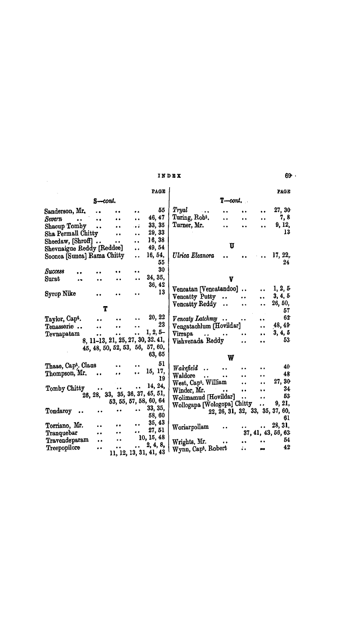### INDEX

 $\label{eq:2.1} \frac{1}{\sqrt{2\pi}}\sum_{i=1}^n\frac{1}{\sqrt{2\pi}}\sum_{i=1}^n\frac{1}{\sqrt{2\pi}}\sum_{i=1}^n\frac{1}{\sqrt{2\pi}}\sum_{i=1}^n\frac{1}{\sqrt{2\pi}}\sum_{i=1}^n\frac{1}{\sqrt{2\pi}}\sum_{i=1}^n\frac{1}{\sqrt{2\pi}}\sum_{i=1}^n\frac{1}{\sqrt{2\pi}}\sum_{i=1}^n\frac{1}{\sqrt{2\pi}}\sum_{i=1}^n\frac{1}{\sqrt{2\pi}}\sum_{i=1}^n\$ 

 $69 +$ 

|                                         |                      |                      |                      | PAGE                              |                                                    |                                 |                      |                      | <b>PAGE</b>        |  |
|-----------------------------------------|----------------------|----------------------|----------------------|-----------------------------------|----------------------------------------------------|---------------------------------|----------------------|----------------------|--------------------|--|
| $S$ -cont.                              |                      |                      |                      |                                   | $T$ cont.                                          |                                 |                      |                      |                    |  |
| Sanderson, Mr.                          | $\ddot{\phantom{a}}$ |                      | $\bullet$            | 55                                | Tryal<br>$\sim$                                    | $\ddot{\phantom{a}}$            |                      | $\ddot{\phantom{0}}$ | 27, 30             |  |
| Severn<br>$\bullet$ $\bullet$ $\bullet$ | $\ddot{\phantom{0}}$ | $\ddot{\bullet}$     | $\ddot{\phantom{1}}$ | 46, 47                            | Turing, Robt.                                      | $\ddot{\phantom{0}}$            | $\ddot{\phantom{1}}$ |                      | 7, 8               |  |
| Shacup Tomby                            |                      | $\bullet$            | ة و .                | 33, 35                            | Turner, Mr.                                        | v.                              | $\ddot{\phantom{0}}$ |                      | 9, 12,             |  |
| Sha Permall Chitty                      |                      |                      |                      | 29, 33                            |                                                    |                                 |                      |                      | 13                 |  |
| Sheedaw, [Shroff]                       |                      | $\bullet$            | $\ddot{\phantom{a}}$ | 16, 38                            |                                                    |                                 |                      |                      |                    |  |
| Shevnaigue Reddy [Reddee]               |                      |                      | $\ddot{\phantom{a}}$ | 49, 54                            |                                                    | U                               |                      |                      |                    |  |
| Soonca [Sunca] Rama Chitty              |                      |                      | $\ddot{\phantom{a}}$ | 16, 54,<br>55                     | Ulrica Eleanora                                    |                                 |                      |                      | 17, 22,<br>24      |  |
| Success                                 |                      |                      | $\bullet$            | 30                                |                                                    |                                 |                      |                      |                    |  |
| Surat<br>. .                            |                      |                      |                      | 34, 35,                           |                                                    | V                               |                      |                      |                    |  |
|                                         |                      |                      |                      | 36, 42                            | Vencatan [Vencatandoo]                             |                                 |                      | $\ddot{\bullet}$     | 1, 2, 5            |  |
| Syrop Nike                              |                      |                      |                      | 13                                | Vencatty Putty                                     | $\ddot{\phantom{a}}$            | $\ddot{\phantom{a}}$ |                      | 3, 4, 5            |  |
|                                         |                      |                      |                      |                                   | <b>Vencatty Reddy</b>                              | $\ddot{\phantom{a}}$            | $\ddot{\bullet}$     | $\ddot{\phantom{a}}$ | 26, 50,            |  |
|                                         | Т                    |                      |                      |                                   |                                                    |                                 |                      |                      | 57                 |  |
| Taylor, Cap <sup>t</sup> .              | $\ddot{\phantom{a}}$ | $\ddot{\phantom{a}}$ | $\ddot{\phantom{a}}$ | 20, 22                            | Vencaty Latchmy                                    |                                 | $\ddot{\phantom{a}}$ | $\ddot{\phantom{1}}$ | 62                 |  |
| Tenasserie                              | $\bullet$            | $\bullet$ $\bullet$  |                      | 23                                | Vengatachlum [Hovildar]                            |                                 |                      | $\ddot{\phantom{a}}$ | 48, 49             |  |
| Tevnapatam                              | $\ddot{\phantom{a}}$ | $\ddot{\bullet}$     |                      | $1, 2, 5-$                        | Virrapa<br>$\mathbf{z}$ , and $\mathbf{z}$         | $\bullet$                       | $\ddot{\phantom{a}}$ | $\ddot{\phantom{a}}$ | 3, 4, 5            |  |
|                                         |                      |                      |                      | 8, 11-13, 21, 25, 27, 30, 32, 41, | Vishvenada Reddy                                   |                                 | $\ddot{\phantom{0}}$ | $\ddot{\phantom{1}}$ | 53                 |  |
|                                         |                      |                      |                      | 45, 48, 50, 52, 53, 56, 57, 60,   |                                                    |                                 |                      |                      |                    |  |
|                                         |                      |                      |                      | 63, 65                            |                                                    | W                               |                      |                      |                    |  |
| Thaae, Capt. Claus                      |                      |                      | $\ddot{\phantom{a}}$ | 51                                | Wakefield<br>$\bullet$ $\bullet$                   | $\ddot{\phantom{a}}$            |                      | $\ddot{\phantom{a}}$ | 40                 |  |
| Thompson, Mr.                           |                      | $\bullet$            | $\ddot{\phantom{a}}$ | 15, 17,                           | Waldore<br>$\bullet$ $\bullet$ $\bullet$ $\bullet$ | $\bullet$                       |                      | $\ddot{\phantom{a}}$ | 48                 |  |
|                                         |                      |                      |                      | 19                                | West, Capt. William                                |                                 | $\ddot{\phantom{0}}$ | $\ddot{\phantom{a}}$ | 27, 30             |  |
| Tomby Chitty                            | $\bullet$            | $\bullet$ $\bullet$  | $\bullet$ $\bullet$  | 14, 24,                           | Winder, $Mr.$                                      |                                 | $\bullet$            | $\ddot{\phantom{a}}$ | 34                 |  |
|                                         |                      |                      |                      | 26, 28, 33, 35, 36, 37, 45, 51,   | Wolimamud [Hovildar]                               |                                 | $\ddot{\phantom{a}}$ | $\bullet$            | 53                 |  |
|                                         |                      |                      |                      | 53, 55, 57, 58, 60, 64            | Wollogapa [Wologopa] Chitty                        |                                 |                      | $\ddot{\phantom{a}}$ | 9, 21,             |  |
| Tondaroy                                | $\ddot{\phantom{0}}$ |                      | $\cdots$             | 33, 35,<br>58,60                  |                                                    | 22, 26, 31, 32, 33, 35, 37, 60, |                      |                      | 61                 |  |
| Torriano, Mr.                           | $\ddot{\phantom{a}}$ | $\bullet$            | $\bullet$            | 35, 43                            | Woriarpollam                                       |                                 |                      |                      | $\ldots$ 28, 31,   |  |
| Tranquebar                              | $\bullet$            | $\ddot{\phantom{0}}$ | $\bullet \bullet$    | 27, 51                            |                                                    |                                 |                      |                      | 37, 41, 43, 56, 63 |  |
| Travendeparam                           | $\bullet$            | $\bullet$            |                      | 10, 15, 48                        | Wrights, Mr.                                       | $\bullet$                       |                      | $\bullet$            | 54                 |  |
| Treepopilore                            | $\ddot{\phantom{0}}$ |                      | $\ddot{\phantom{a}}$ | 2, 4, 8,                          | Wynn, Capt. Robert                                 |                                 |                      |                      | 42                 |  |
|                                         |                      |                      |                      | 11, 12, 13, 31, 41, 43            |                                                    |                                 |                      |                      |                    |  |